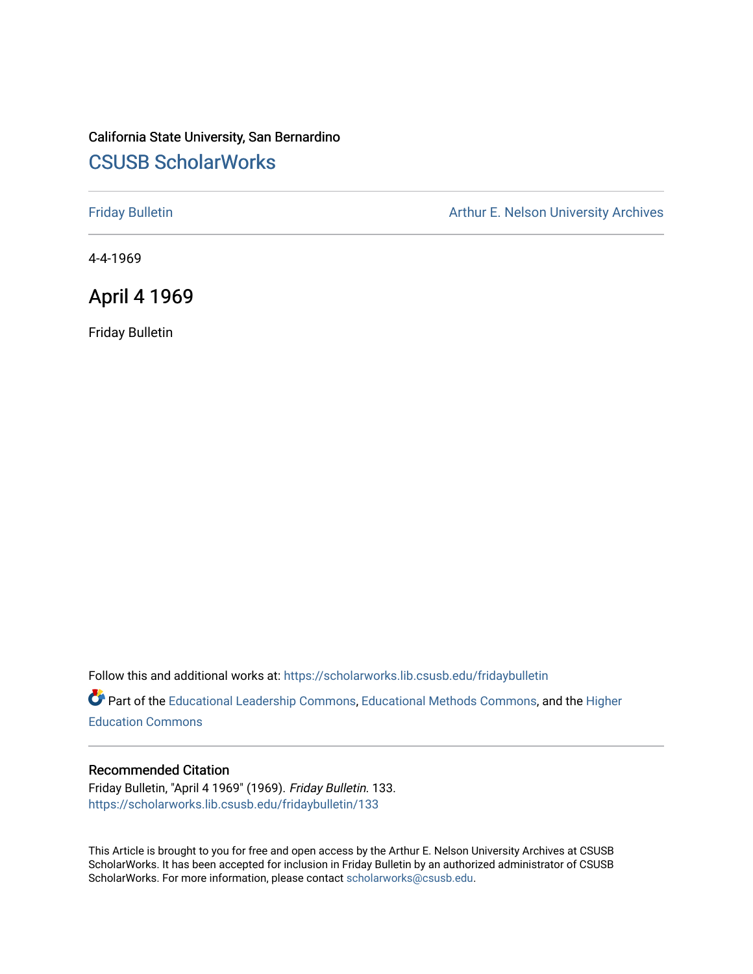## California State University, San Bernardino [CSUSB ScholarWorks](https://scholarworks.lib.csusb.edu/)

[Friday Bulletin](https://scholarworks.lib.csusb.edu/fridaybulletin) **Arthur E. Nelson University Archives** Arthur E. Nelson University Archives

4-4-1969

### April 4 1969

Friday Bulletin

Follow this and additional works at: [https://scholarworks.lib.csusb.edu/fridaybulletin](https://scholarworks.lib.csusb.edu/fridaybulletin?utm_source=scholarworks.lib.csusb.edu%2Ffridaybulletin%2F133&utm_medium=PDF&utm_campaign=PDFCoverPages)

Part of the [Educational Leadership Commons,](http://network.bepress.com/hgg/discipline/1230?utm_source=scholarworks.lib.csusb.edu%2Ffridaybulletin%2F133&utm_medium=PDF&utm_campaign=PDFCoverPages) [Educational Methods Commons,](http://network.bepress.com/hgg/discipline/1227?utm_source=scholarworks.lib.csusb.edu%2Ffridaybulletin%2F133&utm_medium=PDF&utm_campaign=PDFCoverPages) and the [Higher](http://network.bepress.com/hgg/discipline/1245?utm_source=scholarworks.lib.csusb.edu%2Ffridaybulletin%2F133&utm_medium=PDF&utm_campaign=PDFCoverPages) [Education Commons](http://network.bepress.com/hgg/discipline/1245?utm_source=scholarworks.lib.csusb.edu%2Ffridaybulletin%2F133&utm_medium=PDF&utm_campaign=PDFCoverPages) 

### Recommended Citation

Friday Bulletin, "April 4 1969" (1969). Friday Bulletin. 133. [https://scholarworks.lib.csusb.edu/fridaybulletin/133](https://scholarworks.lib.csusb.edu/fridaybulletin/133?utm_source=scholarworks.lib.csusb.edu%2Ffridaybulletin%2F133&utm_medium=PDF&utm_campaign=PDFCoverPages)

This Article is brought to you for free and open access by the Arthur E. Nelson University Archives at CSUSB ScholarWorks. It has been accepted for inclusion in Friday Bulletin by an authorized administrator of CSUSB ScholarWorks. For more information, please contact [scholarworks@csusb.edu.](mailto:scholarworks@csusb.edu)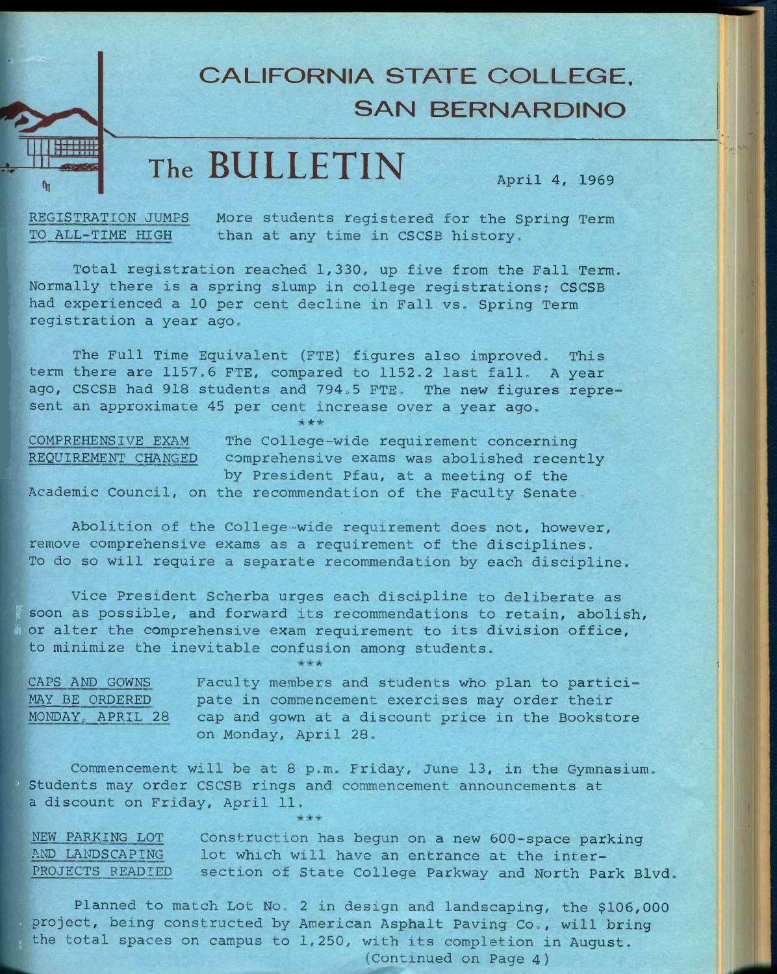**11** 

# **CALIFORNIA STATE COLLEGE, SAN BERNARDINO**

# **The BULLETIN April 4, 1969**

 $\bm{x}$  , and  $\bm{y}$  is the  $\bm{y}$  in the  $\bm{y}$  in the  $\bm{y}$  -  $\bm{y}$  is the  $\bm{y}$  -  $\bm{y}$ 

;!

**REGISTRATION JUMPS More students registered for the Spring Term TO ALL-TIME HIGH than at any time in CSCSB history.** 

**Total registration reached 1,330, up five from the Fall Term. Normally there is a spring slump in college registrations; CSCSB had experienced a 10 per cent decline in Fall vs. Spring Term registration a year ago.** 

**The Full Time Equivalent (FTE) figures also improved. This term there are 1157.6 FTE, compared to 1152,2 last fall. A year**  ago, CSCSB had 918 students and 794.5 FTE. The new figures represent an approximate 45 per cent increase over a year ago.

*•kHeie I* 

**COMPREHENSIVE EXAM The College-wide requirement concerning <sup>1</sup> REQUIREMENT CHANGED comprehensive exams was abolished recently by President Pfau, at a meeting of the Academic Council, on the recommendation of the Faculty Senate.** 

**Abolition of the College-wide requirement does not, however, remove comprehensive exams as a requirement of the disciplines. To do so will require a separate recommendation by each discipline.** 

**Vice President Scherba urges each discipline to deliberate as f soon as possible, and forward its recommendations to retain, abolish, ft or alter the comprehensive exam requirement to its division office, to minimize the inevitable confusion among students.** 

| CAPS AND GOWNS       | Faculty members and students who plan to partici- |  |
|----------------------|---------------------------------------------------|--|
| MAY BE ORDERED       | pate in commencement exercises may order their    |  |
| MONDAY, APRIL 28     | cap and gown at a discount price in the Bookstore |  |
| on Monday, April 28. |                                                   |  |

**Commencement will be at 8 p.m. Friday, June 13, in the Gymnasium, ' Students may order CSCSB rings and commencement announcements at a discount on Friday, April 11.** 

**NEW PARKING LOT Construction has begun on a new 60Q-space parking**  AND LANDSCAPING lot which will have an entrance at the inter-**PROJECTS READIED section of State College Parkway and North Park Blvd.** 

**Planned to match Lot No. 2 in design and landscaping, the \$106,000 . project, being constructed by American Asphalt Paving Co., will bring**  the total spaces on campus to 1,250, with its completion in August.

**(Continued on Page 4)**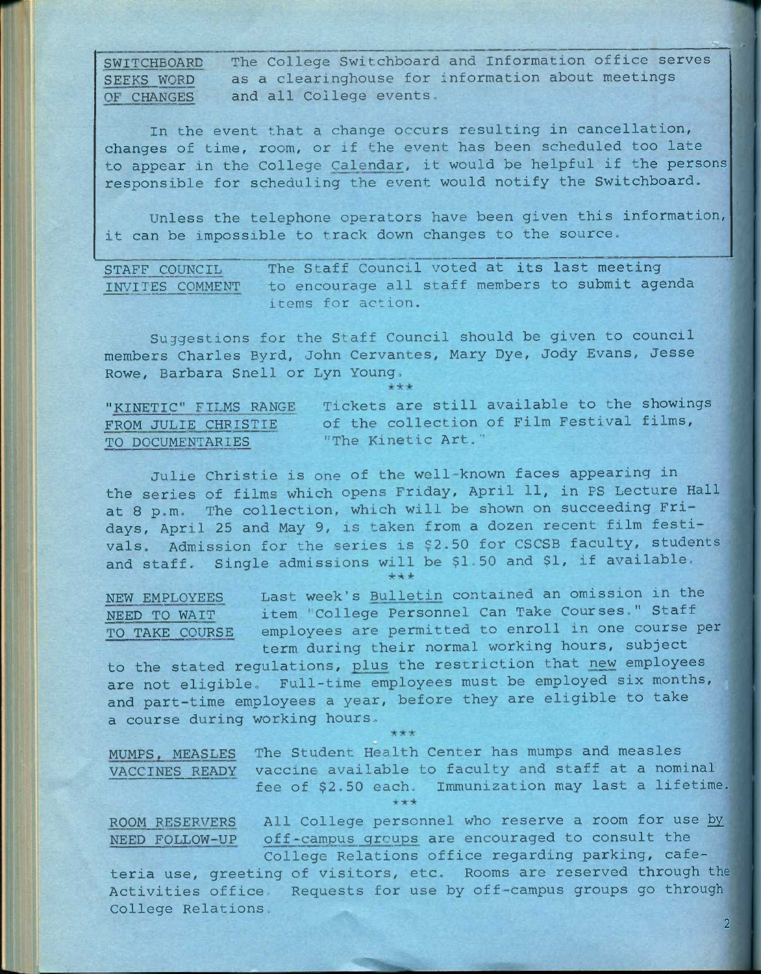**The College Switchboard and Information office serves as a clearinghouse for information about meetings and all College events. SWITCHBOARD SEEKS WORD OF CHANGES** 

**In the event that a change occurs resulting in cancellation, changes of time, room, or if the event has been scheduled too late to appear in the College Calendar, it would be helpful if the persons responsible for scheduling the event would notify the Switchboard.** 

**Unless the telephone operators have been given this information, it can be impossible to track down changes to the source.** 

**STAFF COUNCIL The Staff Council voted at its last meeting INVITES COMMENT to encourage all staff members to submit agenda items for action.** 

**Suggestions for the Staff Council should be given to council members Charles Byrd, John Cervantes, Mary Dye, Jody Evans, Jesse Rowe, Barbara Snell or Lyn Young,**  ^

| "KINETIC" FILMS RANGE | Tickets are still available to the showings |  |
|-----------------------|---------------------------------------------|--|
| FROM JULIE CHRISTIE   | of the collection of Film Festival films,   |  |
| TO DOCUMENTARIES      | "The Kinetic Art."                          |  |

**Julie Christie is one of the well-known faces appearing in the series of films which opens Friday, April 11, in PS Lecture Hall at 8 p.m. The collection, which will be shown on succeeding Fridays, April 25 and May 9, is taken from a dozen recent film festivals. Admission for the series is \$2.50 for CSCSB faculty, students and staff. Single admissions will be \$1.50 and \$1, if available.** 

\*\*\*

**NEW EMPLOYEES Last week's Bulletin contained an omission in the NEED TO WAIT item "College Personnel Can Take Courses." Staff TO TAKE COURSE employees are permitted to enroll in one course per term during their normal working hours, subject** 

to the stated regulations, plus the restriction that new employees **are not eligible. Full—time employees must be employed six months, ^ and part-time employees a year, before they are eligible to take a course during working hours.** 

**The Student Health Center has mumps and measles MUMPS. MEASLES vaccine available to faculty and staff at a nominal fee of \$2.50 each. Immunization may last a lifetime.**  *if; it*  **VACCINES READY** 

**ROOM RESERVERS NEED FOLLOW-UP**  All College personnel who reserve a room for use by **off-campus groups are encouraged to consult the College Relations office regarding parking, cafe-**

**2** 

**teria use, greeting of visitors, etc. Rooms are reserved through the Activities office. Requests for use by off-campus groups go through College Relations.**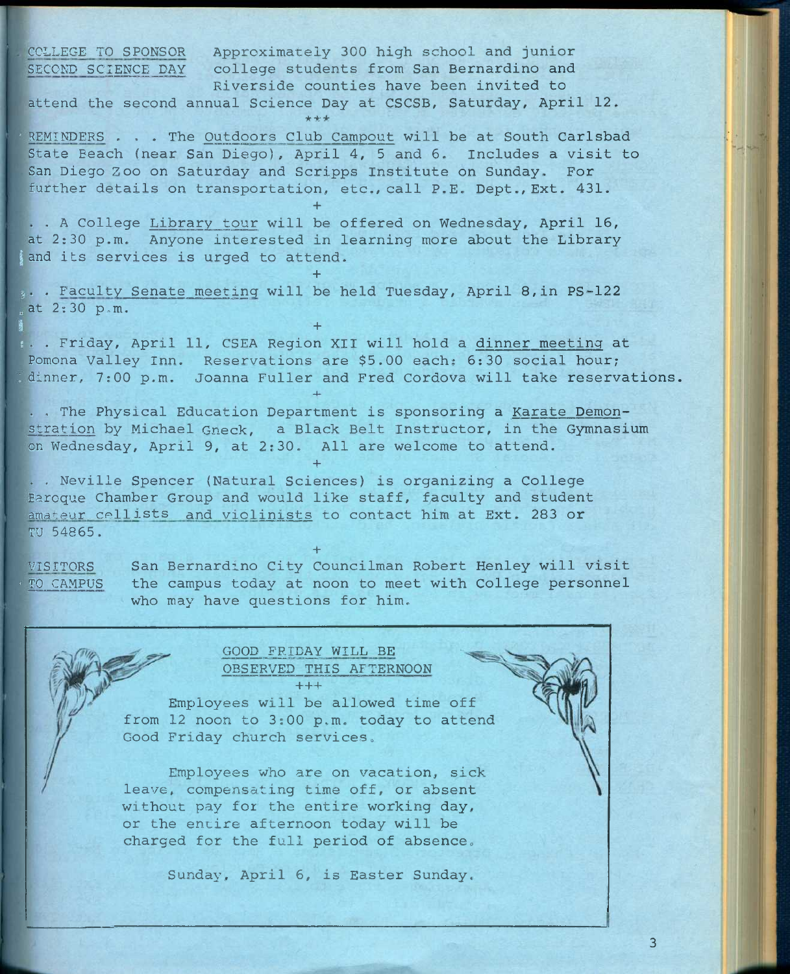**COLLEGE TO SPONSOR Approximately 300 high school and junior**  SECOND SCIENCE DAY college students from San Bernardino and **Riverside counties have been invited to attend the second annual Science Day at CSCSB, Saturday, April 12.**  \*\*\* **• REMINDERS . . . The Outdoors Club Campout will be at South Carlsbad State Beach (near San Diego), April 4, 5 and 6. Includes a visit to San Diego Zoo on Saturday and Scripps Institute on Sunday, For further details on transportation, etc., call P.E. Dept., Ext. 431. + . . A College Library tour will be offered on Wednesday, April 16, at 2:30 p.m. Anyone interested in learning more about the Library**  and its services is urged to attend. **+ ;• • Faculty Senate meeting will be held Tuesday, April 8,in PS-122**  at 2:30 p.m.  $\mathbf{I}$ ,  $\mathbf{I}$ ,  $\mathbf{I}$ ,  $\mathbf{I}$ ,  $\mathbf{I}$ ,  $\mathbf{I}$ ,  $\mathbf{I}$ ,  $\mathbf{I}$ ,  $\mathbf{I}$ ,  $\mathbf{I}$ ,  $\mathbf{I}$ ,  $\mathbf{I}$ ,  $\mathbf{I}$ ,  $\mathbf{I}$ ,  $\mathbf{I}$ ,  $\mathbf{I}$ ,  $\mathbf{I}$ ,  $\mathbf{I}$ ,  $\mathbf{I}$ ,  $\mathbf{I}$ ,  $\mathbf{I}$ ,  $\mathbf{I}$ , **; . . Friday, April 11, CSEA Region XII will hold a dinner meeting at Pomona Valley Inn. Reservations are \$5.00 each: 6:30 social hour; : dinner, 7:00 p.m. Joanna Fuller and Fred Cordova will take reservations.**  4- **. , The Physical Education Department is sponsoring a Karate Demonstration by Michael Gneck, a Black Belt Instructor, in the Gymnasium on Wednesday, April 9, at 2:30. All are welcome to attend. + . , Neville Spencer (Natural Sciences) is organizing a College Baroque Chamber Group and would like staff, faculty and student amateur cellists and violinists to contact him at Ext. 283 or TU 54865. + VISITORS San Bernardino City Councilman Robert Henley will visit - TO CAMPUS the campus today at noon to meet with College personnel who may have questions for him.** 

**GOOD FRIDAY WILL BE OBSERVED THIS AFTERNOON +++** 

**Employees will be allowed time off from 12 noon to 3:00 p.m. today to attend Good Friday church services»** 

**Employees who are on vacation, sick leave, compensating time off, or absent without pay for the entire working day, or the entire afternoon today will be charged for the full period of absence.** 

**Sunday, April 6, is Easter Sunday.**